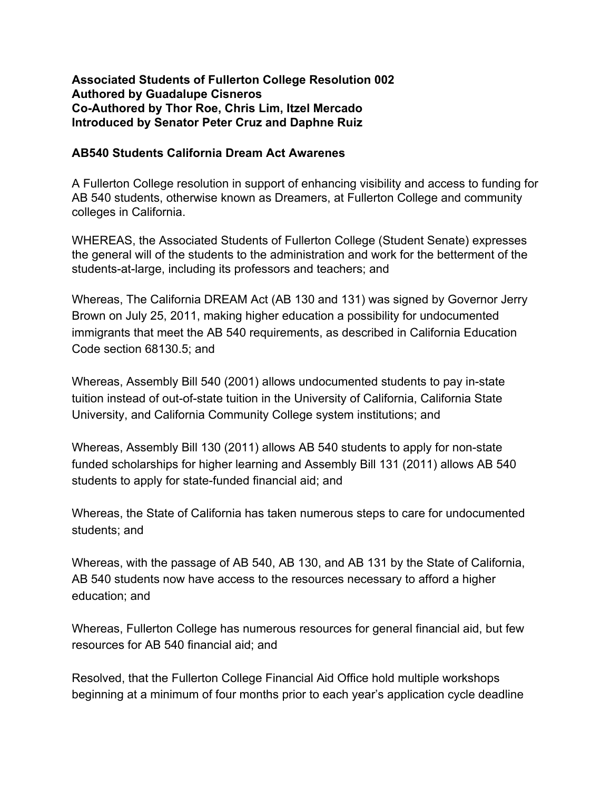## **Associated Students of Fullerton College Resolution 002 Authored by Guadalupe Cisneros CoAuthored by Thor Roe, Chris Lim, Itzel Mercado Introduced by Senator Peter Cruz and Daphne Ruiz**

## **AB540 Students California Dream Act Awarenes**

A Fullerton College resolution in support of enhancing visibility and access to funding for AB 540 students, otherwise known as Dreamers, at Fullerton College and community colleges in California.

WHEREAS, the Associated Students of Fullerton College (Student Senate) expresses the general will of the students to the administration and work for the betterment of the students-at-large, including its professors and teachers; and

Whereas, The California DREAM Act (AB 130 and 131) was signed by Governor Jerry Brown on July 25, 2011, making higher education a possibility for undocumented immigrants that meet the AB 540 requirements, as described in California Education Code section 68130.5; and

Whereas, Assembly Bill 540 (2001) allows undocumented students to pay in-state tuition instead of out-of-state tuition in the University of California, California State University, and California Community College system institutions; and

Whereas, Assembly Bill 130 (2011) allows AB 540 students to apply for non-state funded scholarships for higher learning and Assembly Bill 131 (2011) allows AB 540 students to apply for state-funded financial aid; and

Whereas, the State of California has taken numerous steps to care for undocumented students; and

Whereas, with the passage of AB 540, AB 130, and AB 131 by the State of California, AB 540 students now have access to the resources necessary to afford a higher education; and

Whereas, Fullerton College has numerous resources for general financial aid, but few resources for AB 540 financial aid; and

Resolved, that the Fullerton College Financial Aid Office hold multiple workshops beginning at a minimum of four months prior to each year's application cycle deadline